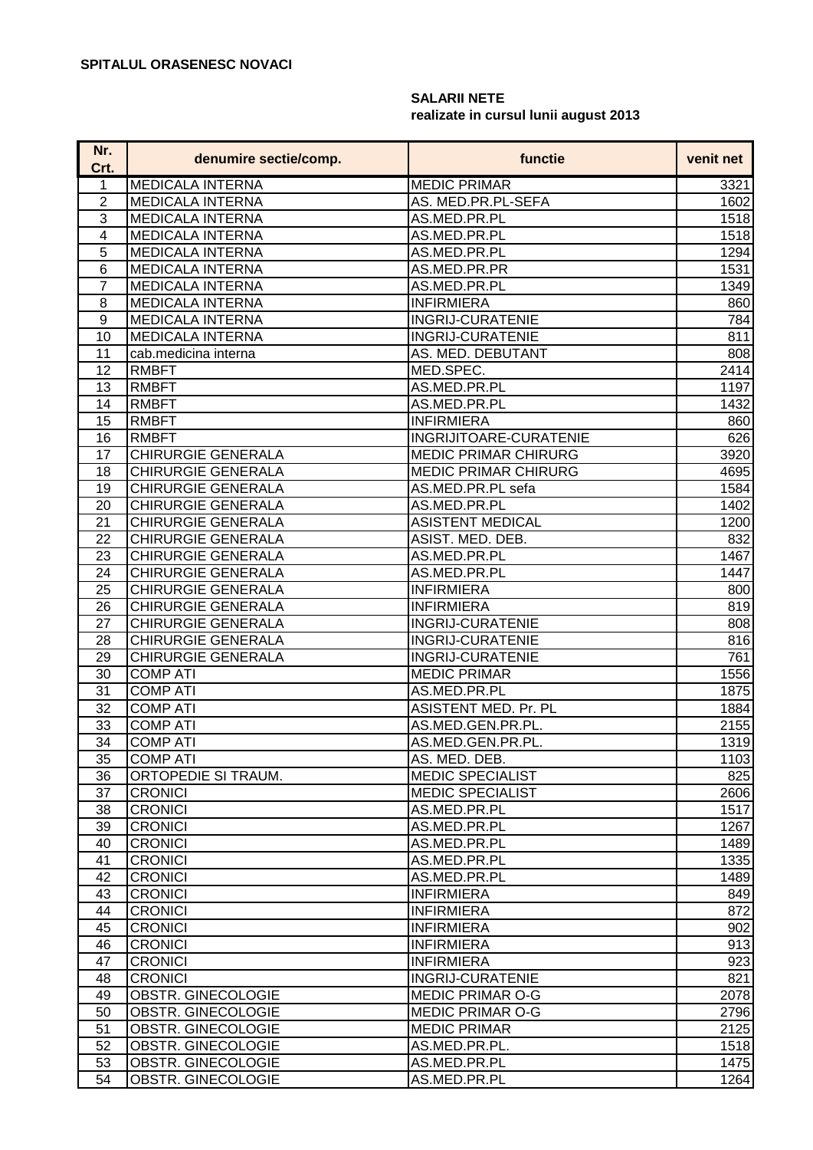## **SALARII NETE realizate in cursul lunii august 2013**

| <b>MEDICALA INTERNA</b><br><b>MEDIC PRIMAR</b><br>3321<br>1<br><b>MEDICALA INTERNA</b><br>$\overline{2}$<br>AS. MED.PR.PL-SEFA<br>1602<br>3<br><b>MEDICALA INTERNA</b><br>AS.MED.PR.PL<br>1518<br><b>MEDICALA INTERNA</b><br>4<br>AS.MED.PR.PL<br>1518<br>5<br><b>MEDICALA INTERNA</b><br>AS.MED.PR.PL<br>1294<br>6<br><b>MEDICALA INTERNA</b><br>AS.MED.PR.PR<br>1531<br>$\overline{7}$<br><b>MEDICALA INTERNA</b><br>AS.MED.PR.PL<br>1349<br><b>MEDICALA INTERNA</b><br><b>INFIRMIERA</b><br>8<br>860<br><b>MEDICALA INTERNA</b><br><b>INGRIJ-CURATENIE</b><br>9<br>784<br><b>MEDICALA INTERNA</b><br><b>INGRIJ-CURATENIE</b><br>811<br>10<br>11<br>AS. MED. DEBUTANT<br>808<br>cab.medicina interna<br>12<br><b>RMBFT</b><br>MED.SPEC.<br>2414<br>13<br><b>RMBFT</b><br>AS.MED.PR.PL<br>1197<br>14<br><b>RMBFT</b><br>AS.MED.PR.PL<br>15<br><b>RMBFT</b><br><b>INFIRMIERA</b><br>16<br><b>RMBFT</b><br>INGRIJITOARE-CURATENIE<br>17<br><b>CHIRURGIE GENERALA</b><br><b>MEDIC PRIMAR CHIRURG</b><br>CHIRURGIE GENERALA<br>18<br><b>MEDIC PRIMAR CHIRURG</b><br><b>CHIRURGIE GENERALA</b><br>19<br>AS.MED.PR.PL sefa<br>1584<br>20<br><b>CHIRURGIE GENERALA</b><br>AS.MED.PR.PL<br>1402<br><b>CHIRURGIE GENERALA</b><br><b>ASISTENT MEDICAL</b><br>21<br>22<br><b>CHIRURGIE GENERALA</b><br>ASIST. MED. DEB.<br>832<br>23<br><b>CHIRURGIE GENERALA</b><br>AS.MED.PR.PL<br>1467<br><b>CHIRURGIE GENERALA</b><br>AS.MED.PR.PL<br>24<br>1447<br><b>CHIRURGIE GENERALA</b><br>25<br><b>INFIRMIERA</b><br>800<br><b>CHIRURGIE GENERALA</b><br><b>INFIRMIERA</b><br>26<br>CHIRURGIE GENERALA<br>27<br><b>INGRIJ-CURATENIE</b><br>28<br><b>CHIRURGIE GENERALA</b><br><b>INGRIJ-CURATENIE</b><br>761<br>29<br><b>CHIRURGIE GENERALA</b><br><b>INGRIJ-CURATENIE</b><br>30<br><b>COMP ATI</b><br><b>MEDIC PRIMAR</b><br>31<br><b>COMP ATI</b><br>AS.MED.PR.PL<br>32<br><b>COMP ATI</b><br>ASISTENT MED. Pr. PL<br>33<br><b>COMP ATI</b><br>AS.MED.GEN.PR.PL.<br>34<br><b>COMP ATI</b><br>AS.MED.GEN.PR.PL.<br>35<br><b>COMP ATI</b><br>AS. MED. DEB.<br><b>MEDIC SPECIALIST</b><br>ORTOPEDIE SI TRAUM.<br>36<br><b>CRONICI</b><br><b>MEDIC SPECIALIST</b><br>37<br><b>CRONICI</b><br>AS.MED.PR.PL<br>38<br>1517<br>1267<br>39<br><b>CRONICI</b><br>AS.MED.PR.PL<br><b>CRONICI</b><br>AS.MED.PR.PL<br>40<br>41<br><b>CRONICI</b><br>AS.MED.PR.PL<br>42<br><b>CRONICI</b><br>AS.MED.PR.PL<br><b>CRONICI</b><br>43<br><b>INFIRMIERA</b><br><b>CRONICI</b><br><b>INFIRMIERA</b><br>44<br><b>CRONICI</b><br><b>INFIRMIERA</b><br>45<br><b>CRONICI</b><br><b>INFIRMIERA</b><br>46<br>47<br><b>CRONICI</b><br><b>INFIRMIERA</b><br>48<br><b>CRONICI</b><br><b>INGRIJ-CURATENIE</b><br>OBSTR. GINECOLOGIE<br><b>MEDIC PRIMAR O-G</b><br>49<br>50<br><b>MEDIC PRIMAR O-G</b><br>OBSTR. GINECOLOGIE<br>51<br>OBSTR. GINECOLOGIE<br><b>MEDIC PRIMAR</b><br>52<br>OBSTR. GINECOLOGIE<br>AS.MED.PR.PL.<br>OBSTR. GINECOLOGIE<br>53<br>AS.MED.PR.PL | Nr.<br>Crt. | denumire sectie/comp. | functie      | venit net |
|------------------------------------------------------------------------------------------------------------------------------------------------------------------------------------------------------------------------------------------------------------------------------------------------------------------------------------------------------------------------------------------------------------------------------------------------------------------------------------------------------------------------------------------------------------------------------------------------------------------------------------------------------------------------------------------------------------------------------------------------------------------------------------------------------------------------------------------------------------------------------------------------------------------------------------------------------------------------------------------------------------------------------------------------------------------------------------------------------------------------------------------------------------------------------------------------------------------------------------------------------------------------------------------------------------------------------------------------------------------------------------------------------------------------------------------------------------------------------------------------------------------------------------------------------------------------------------------------------------------------------------------------------------------------------------------------------------------------------------------------------------------------------------------------------------------------------------------------------------------------------------------------------------------------------------------------------------------------------------------------------------------------------------------------------------------------------------------------------------------------------------------------------------------------------------------------------------------------------------------------------------------------------------------------------------------------------------------------------------------------------------------------------------------------------------------------------------------------------------------------------------------------------------------------------------------------------------------------------------------------------------------------------------------------------------------------------------------------------------------------------------------------------------------------------------------------------------------------------------------------------------------------------------------------------|-------------|-----------------------|--------------|-----------|
|                                                                                                                                                                                                                                                                                                                                                                                                                                                                                                                                                                                                                                                                                                                                                                                                                                                                                                                                                                                                                                                                                                                                                                                                                                                                                                                                                                                                                                                                                                                                                                                                                                                                                                                                                                                                                                                                                                                                                                                                                                                                                                                                                                                                                                                                                                                                                                                                                                                                                                                                                                                                                                                                                                                                                                                                                                                                                                                              |             |                       |              |           |
|                                                                                                                                                                                                                                                                                                                                                                                                                                                                                                                                                                                                                                                                                                                                                                                                                                                                                                                                                                                                                                                                                                                                                                                                                                                                                                                                                                                                                                                                                                                                                                                                                                                                                                                                                                                                                                                                                                                                                                                                                                                                                                                                                                                                                                                                                                                                                                                                                                                                                                                                                                                                                                                                                                                                                                                                                                                                                                                              |             |                       |              |           |
|                                                                                                                                                                                                                                                                                                                                                                                                                                                                                                                                                                                                                                                                                                                                                                                                                                                                                                                                                                                                                                                                                                                                                                                                                                                                                                                                                                                                                                                                                                                                                                                                                                                                                                                                                                                                                                                                                                                                                                                                                                                                                                                                                                                                                                                                                                                                                                                                                                                                                                                                                                                                                                                                                                                                                                                                                                                                                                                              |             |                       |              |           |
|                                                                                                                                                                                                                                                                                                                                                                                                                                                                                                                                                                                                                                                                                                                                                                                                                                                                                                                                                                                                                                                                                                                                                                                                                                                                                                                                                                                                                                                                                                                                                                                                                                                                                                                                                                                                                                                                                                                                                                                                                                                                                                                                                                                                                                                                                                                                                                                                                                                                                                                                                                                                                                                                                                                                                                                                                                                                                                                              |             |                       |              |           |
|                                                                                                                                                                                                                                                                                                                                                                                                                                                                                                                                                                                                                                                                                                                                                                                                                                                                                                                                                                                                                                                                                                                                                                                                                                                                                                                                                                                                                                                                                                                                                                                                                                                                                                                                                                                                                                                                                                                                                                                                                                                                                                                                                                                                                                                                                                                                                                                                                                                                                                                                                                                                                                                                                                                                                                                                                                                                                                                              |             |                       |              |           |
|                                                                                                                                                                                                                                                                                                                                                                                                                                                                                                                                                                                                                                                                                                                                                                                                                                                                                                                                                                                                                                                                                                                                                                                                                                                                                                                                                                                                                                                                                                                                                                                                                                                                                                                                                                                                                                                                                                                                                                                                                                                                                                                                                                                                                                                                                                                                                                                                                                                                                                                                                                                                                                                                                                                                                                                                                                                                                                                              |             |                       |              |           |
|                                                                                                                                                                                                                                                                                                                                                                                                                                                                                                                                                                                                                                                                                                                                                                                                                                                                                                                                                                                                                                                                                                                                                                                                                                                                                                                                                                                                                                                                                                                                                                                                                                                                                                                                                                                                                                                                                                                                                                                                                                                                                                                                                                                                                                                                                                                                                                                                                                                                                                                                                                                                                                                                                                                                                                                                                                                                                                                              |             |                       |              |           |
|                                                                                                                                                                                                                                                                                                                                                                                                                                                                                                                                                                                                                                                                                                                                                                                                                                                                                                                                                                                                                                                                                                                                                                                                                                                                                                                                                                                                                                                                                                                                                                                                                                                                                                                                                                                                                                                                                                                                                                                                                                                                                                                                                                                                                                                                                                                                                                                                                                                                                                                                                                                                                                                                                                                                                                                                                                                                                                                              |             |                       |              |           |
|                                                                                                                                                                                                                                                                                                                                                                                                                                                                                                                                                                                                                                                                                                                                                                                                                                                                                                                                                                                                                                                                                                                                                                                                                                                                                                                                                                                                                                                                                                                                                                                                                                                                                                                                                                                                                                                                                                                                                                                                                                                                                                                                                                                                                                                                                                                                                                                                                                                                                                                                                                                                                                                                                                                                                                                                                                                                                                                              |             |                       |              |           |
|                                                                                                                                                                                                                                                                                                                                                                                                                                                                                                                                                                                                                                                                                                                                                                                                                                                                                                                                                                                                                                                                                                                                                                                                                                                                                                                                                                                                                                                                                                                                                                                                                                                                                                                                                                                                                                                                                                                                                                                                                                                                                                                                                                                                                                                                                                                                                                                                                                                                                                                                                                                                                                                                                                                                                                                                                                                                                                                              |             |                       |              |           |
|                                                                                                                                                                                                                                                                                                                                                                                                                                                                                                                                                                                                                                                                                                                                                                                                                                                                                                                                                                                                                                                                                                                                                                                                                                                                                                                                                                                                                                                                                                                                                                                                                                                                                                                                                                                                                                                                                                                                                                                                                                                                                                                                                                                                                                                                                                                                                                                                                                                                                                                                                                                                                                                                                                                                                                                                                                                                                                                              |             |                       |              |           |
| 1432<br>860<br>626<br>3920<br>4695<br>1200<br>819<br>808<br>816<br>1556<br>1875<br>1884<br>2155<br>1319<br>1103<br>825<br>2606<br>1489<br>1335<br>1489<br>849<br>872<br>902<br>913<br>923<br>821<br>2078<br>2796<br>2125<br>1518<br>1475                                                                                                                                                                                                                                                                                                                                                                                                                                                                                                                                                                                                                                                                                                                                                                                                                                                                                                                                                                                                                                                                                                                                                                                                                                                                                                                                                                                                                                                                                                                                                                                                                                                                                                                                                                                                                                                                                                                                                                                                                                                                                                                                                                                                                                                                                                                                                                                                                                                                                                                                                                                                                                                                                     |             |                       |              |           |
|                                                                                                                                                                                                                                                                                                                                                                                                                                                                                                                                                                                                                                                                                                                                                                                                                                                                                                                                                                                                                                                                                                                                                                                                                                                                                                                                                                                                                                                                                                                                                                                                                                                                                                                                                                                                                                                                                                                                                                                                                                                                                                                                                                                                                                                                                                                                                                                                                                                                                                                                                                                                                                                                                                                                                                                                                                                                                                                              |             |                       |              |           |
|                                                                                                                                                                                                                                                                                                                                                                                                                                                                                                                                                                                                                                                                                                                                                                                                                                                                                                                                                                                                                                                                                                                                                                                                                                                                                                                                                                                                                                                                                                                                                                                                                                                                                                                                                                                                                                                                                                                                                                                                                                                                                                                                                                                                                                                                                                                                                                                                                                                                                                                                                                                                                                                                                                                                                                                                                                                                                                                              |             |                       |              |           |
|                                                                                                                                                                                                                                                                                                                                                                                                                                                                                                                                                                                                                                                                                                                                                                                                                                                                                                                                                                                                                                                                                                                                                                                                                                                                                                                                                                                                                                                                                                                                                                                                                                                                                                                                                                                                                                                                                                                                                                                                                                                                                                                                                                                                                                                                                                                                                                                                                                                                                                                                                                                                                                                                                                                                                                                                                                                                                                                              |             |                       |              |           |
|                                                                                                                                                                                                                                                                                                                                                                                                                                                                                                                                                                                                                                                                                                                                                                                                                                                                                                                                                                                                                                                                                                                                                                                                                                                                                                                                                                                                                                                                                                                                                                                                                                                                                                                                                                                                                                                                                                                                                                                                                                                                                                                                                                                                                                                                                                                                                                                                                                                                                                                                                                                                                                                                                                                                                                                                                                                                                                                              |             |                       |              |           |
|                                                                                                                                                                                                                                                                                                                                                                                                                                                                                                                                                                                                                                                                                                                                                                                                                                                                                                                                                                                                                                                                                                                                                                                                                                                                                                                                                                                                                                                                                                                                                                                                                                                                                                                                                                                                                                                                                                                                                                                                                                                                                                                                                                                                                                                                                                                                                                                                                                                                                                                                                                                                                                                                                                                                                                                                                                                                                                                              |             |                       |              |           |
|                                                                                                                                                                                                                                                                                                                                                                                                                                                                                                                                                                                                                                                                                                                                                                                                                                                                                                                                                                                                                                                                                                                                                                                                                                                                                                                                                                                                                                                                                                                                                                                                                                                                                                                                                                                                                                                                                                                                                                                                                                                                                                                                                                                                                                                                                                                                                                                                                                                                                                                                                                                                                                                                                                                                                                                                                                                                                                                              |             |                       |              |           |
|                                                                                                                                                                                                                                                                                                                                                                                                                                                                                                                                                                                                                                                                                                                                                                                                                                                                                                                                                                                                                                                                                                                                                                                                                                                                                                                                                                                                                                                                                                                                                                                                                                                                                                                                                                                                                                                                                                                                                                                                                                                                                                                                                                                                                                                                                                                                                                                                                                                                                                                                                                                                                                                                                                                                                                                                                                                                                                                              |             |                       |              |           |
|                                                                                                                                                                                                                                                                                                                                                                                                                                                                                                                                                                                                                                                                                                                                                                                                                                                                                                                                                                                                                                                                                                                                                                                                                                                                                                                                                                                                                                                                                                                                                                                                                                                                                                                                                                                                                                                                                                                                                                                                                                                                                                                                                                                                                                                                                                                                                                                                                                                                                                                                                                                                                                                                                                                                                                                                                                                                                                                              |             |                       |              |           |
|                                                                                                                                                                                                                                                                                                                                                                                                                                                                                                                                                                                                                                                                                                                                                                                                                                                                                                                                                                                                                                                                                                                                                                                                                                                                                                                                                                                                                                                                                                                                                                                                                                                                                                                                                                                                                                                                                                                                                                                                                                                                                                                                                                                                                                                                                                                                                                                                                                                                                                                                                                                                                                                                                                                                                                                                                                                                                                                              |             |                       |              |           |
|                                                                                                                                                                                                                                                                                                                                                                                                                                                                                                                                                                                                                                                                                                                                                                                                                                                                                                                                                                                                                                                                                                                                                                                                                                                                                                                                                                                                                                                                                                                                                                                                                                                                                                                                                                                                                                                                                                                                                                                                                                                                                                                                                                                                                                                                                                                                                                                                                                                                                                                                                                                                                                                                                                                                                                                                                                                                                                                              |             |                       |              |           |
|                                                                                                                                                                                                                                                                                                                                                                                                                                                                                                                                                                                                                                                                                                                                                                                                                                                                                                                                                                                                                                                                                                                                                                                                                                                                                                                                                                                                                                                                                                                                                                                                                                                                                                                                                                                                                                                                                                                                                                                                                                                                                                                                                                                                                                                                                                                                                                                                                                                                                                                                                                                                                                                                                                                                                                                                                                                                                                                              |             |                       |              |           |
|                                                                                                                                                                                                                                                                                                                                                                                                                                                                                                                                                                                                                                                                                                                                                                                                                                                                                                                                                                                                                                                                                                                                                                                                                                                                                                                                                                                                                                                                                                                                                                                                                                                                                                                                                                                                                                                                                                                                                                                                                                                                                                                                                                                                                                                                                                                                                                                                                                                                                                                                                                                                                                                                                                                                                                                                                                                                                                                              |             |                       |              |           |
|                                                                                                                                                                                                                                                                                                                                                                                                                                                                                                                                                                                                                                                                                                                                                                                                                                                                                                                                                                                                                                                                                                                                                                                                                                                                                                                                                                                                                                                                                                                                                                                                                                                                                                                                                                                                                                                                                                                                                                                                                                                                                                                                                                                                                                                                                                                                                                                                                                                                                                                                                                                                                                                                                                                                                                                                                                                                                                                              |             |                       |              |           |
|                                                                                                                                                                                                                                                                                                                                                                                                                                                                                                                                                                                                                                                                                                                                                                                                                                                                                                                                                                                                                                                                                                                                                                                                                                                                                                                                                                                                                                                                                                                                                                                                                                                                                                                                                                                                                                                                                                                                                                                                                                                                                                                                                                                                                                                                                                                                                                                                                                                                                                                                                                                                                                                                                                                                                                                                                                                                                                                              |             |                       |              |           |
|                                                                                                                                                                                                                                                                                                                                                                                                                                                                                                                                                                                                                                                                                                                                                                                                                                                                                                                                                                                                                                                                                                                                                                                                                                                                                                                                                                                                                                                                                                                                                                                                                                                                                                                                                                                                                                                                                                                                                                                                                                                                                                                                                                                                                                                                                                                                                                                                                                                                                                                                                                                                                                                                                                                                                                                                                                                                                                                              |             |                       |              |           |
|                                                                                                                                                                                                                                                                                                                                                                                                                                                                                                                                                                                                                                                                                                                                                                                                                                                                                                                                                                                                                                                                                                                                                                                                                                                                                                                                                                                                                                                                                                                                                                                                                                                                                                                                                                                                                                                                                                                                                                                                                                                                                                                                                                                                                                                                                                                                                                                                                                                                                                                                                                                                                                                                                                                                                                                                                                                                                                                              |             |                       |              |           |
|                                                                                                                                                                                                                                                                                                                                                                                                                                                                                                                                                                                                                                                                                                                                                                                                                                                                                                                                                                                                                                                                                                                                                                                                                                                                                                                                                                                                                                                                                                                                                                                                                                                                                                                                                                                                                                                                                                                                                                                                                                                                                                                                                                                                                                                                                                                                                                                                                                                                                                                                                                                                                                                                                                                                                                                                                                                                                                                              |             |                       |              |           |
|                                                                                                                                                                                                                                                                                                                                                                                                                                                                                                                                                                                                                                                                                                                                                                                                                                                                                                                                                                                                                                                                                                                                                                                                                                                                                                                                                                                                                                                                                                                                                                                                                                                                                                                                                                                                                                                                                                                                                                                                                                                                                                                                                                                                                                                                                                                                                                                                                                                                                                                                                                                                                                                                                                                                                                                                                                                                                                                              |             |                       |              |           |
|                                                                                                                                                                                                                                                                                                                                                                                                                                                                                                                                                                                                                                                                                                                                                                                                                                                                                                                                                                                                                                                                                                                                                                                                                                                                                                                                                                                                                                                                                                                                                                                                                                                                                                                                                                                                                                                                                                                                                                                                                                                                                                                                                                                                                                                                                                                                                                                                                                                                                                                                                                                                                                                                                                                                                                                                                                                                                                                              |             |                       |              |           |
|                                                                                                                                                                                                                                                                                                                                                                                                                                                                                                                                                                                                                                                                                                                                                                                                                                                                                                                                                                                                                                                                                                                                                                                                                                                                                                                                                                                                                                                                                                                                                                                                                                                                                                                                                                                                                                                                                                                                                                                                                                                                                                                                                                                                                                                                                                                                                                                                                                                                                                                                                                                                                                                                                                                                                                                                                                                                                                                              |             |                       |              |           |
|                                                                                                                                                                                                                                                                                                                                                                                                                                                                                                                                                                                                                                                                                                                                                                                                                                                                                                                                                                                                                                                                                                                                                                                                                                                                                                                                                                                                                                                                                                                                                                                                                                                                                                                                                                                                                                                                                                                                                                                                                                                                                                                                                                                                                                                                                                                                                                                                                                                                                                                                                                                                                                                                                                                                                                                                                                                                                                                              |             |                       |              |           |
|                                                                                                                                                                                                                                                                                                                                                                                                                                                                                                                                                                                                                                                                                                                                                                                                                                                                                                                                                                                                                                                                                                                                                                                                                                                                                                                                                                                                                                                                                                                                                                                                                                                                                                                                                                                                                                                                                                                                                                                                                                                                                                                                                                                                                                                                                                                                                                                                                                                                                                                                                                                                                                                                                                                                                                                                                                                                                                                              |             |                       |              |           |
|                                                                                                                                                                                                                                                                                                                                                                                                                                                                                                                                                                                                                                                                                                                                                                                                                                                                                                                                                                                                                                                                                                                                                                                                                                                                                                                                                                                                                                                                                                                                                                                                                                                                                                                                                                                                                                                                                                                                                                                                                                                                                                                                                                                                                                                                                                                                                                                                                                                                                                                                                                                                                                                                                                                                                                                                                                                                                                                              |             |                       |              |           |
|                                                                                                                                                                                                                                                                                                                                                                                                                                                                                                                                                                                                                                                                                                                                                                                                                                                                                                                                                                                                                                                                                                                                                                                                                                                                                                                                                                                                                                                                                                                                                                                                                                                                                                                                                                                                                                                                                                                                                                                                                                                                                                                                                                                                                                                                                                                                                                                                                                                                                                                                                                                                                                                                                                                                                                                                                                                                                                                              |             |                       |              |           |
|                                                                                                                                                                                                                                                                                                                                                                                                                                                                                                                                                                                                                                                                                                                                                                                                                                                                                                                                                                                                                                                                                                                                                                                                                                                                                                                                                                                                                                                                                                                                                                                                                                                                                                                                                                                                                                                                                                                                                                                                                                                                                                                                                                                                                                                                                                                                                                                                                                                                                                                                                                                                                                                                                                                                                                                                                                                                                                                              |             |                       |              |           |
|                                                                                                                                                                                                                                                                                                                                                                                                                                                                                                                                                                                                                                                                                                                                                                                                                                                                                                                                                                                                                                                                                                                                                                                                                                                                                                                                                                                                                                                                                                                                                                                                                                                                                                                                                                                                                                                                                                                                                                                                                                                                                                                                                                                                                                                                                                                                                                                                                                                                                                                                                                                                                                                                                                                                                                                                                                                                                                                              |             |                       |              |           |
|                                                                                                                                                                                                                                                                                                                                                                                                                                                                                                                                                                                                                                                                                                                                                                                                                                                                                                                                                                                                                                                                                                                                                                                                                                                                                                                                                                                                                                                                                                                                                                                                                                                                                                                                                                                                                                                                                                                                                                                                                                                                                                                                                                                                                                                                                                                                                                                                                                                                                                                                                                                                                                                                                                                                                                                                                                                                                                                              |             |                       |              |           |
|                                                                                                                                                                                                                                                                                                                                                                                                                                                                                                                                                                                                                                                                                                                                                                                                                                                                                                                                                                                                                                                                                                                                                                                                                                                                                                                                                                                                                                                                                                                                                                                                                                                                                                                                                                                                                                                                                                                                                                                                                                                                                                                                                                                                                                                                                                                                                                                                                                                                                                                                                                                                                                                                                                                                                                                                                                                                                                                              |             |                       |              |           |
|                                                                                                                                                                                                                                                                                                                                                                                                                                                                                                                                                                                                                                                                                                                                                                                                                                                                                                                                                                                                                                                                                                                                                                                                                                                                                                                                                                                                                                                                                                                                                                                                                                                                                                                                                                                                                                                                                                                                                                                                                                                                                                                                                                                                                                                                                                                                                                                                                                                                                                                                                                                                                                                                                                                                                                                                                                                                                                                              |             |                       |              |           |
|                                                                                                                                                                                                                                                                                                                                                                                                                                                                                                                                                                                                                                                                                                                                                                                                                                                                                                                                                                                                                                                                                                                                                                                                                                                                                                                                                                                                                                                                                                                                                                                                                                                                                                                                                                                                                                                                                                                                                                                                                                                                                                                                                                                                                                                                                                                                                                                                                                                                                                                                                                                                                                                                                                                                                                                                                                                                                                                              |             |                       |              |           |
|                                                                                                                                                                                                                                                                                                                                                                                                                                                                                                                                                                                                                                                                                                                                                                                                                                                                                                                                                                                                                                                                                                                                                                                                                                                                                                                                                                                                                                                                                                                                                                                                                                                                                                                                                                                                                                                                                                                                                                                                                                                                                                                                                                                                                                                                                                                                                                                                                                                                                                                                                                                                                                                                                                                                                                                                                                                                                                                              |             |                       |              |           |
|                                                                                                                                                                                                                                                                                                                                                                                                                                                                                                                                                                                                                                                                                                                                                                                                                                                                                                                                                                                                                                                                                                                                                                                                                                                                                                                                                                                                                                                                                                                                                                                                                                                                                                                                                                                                                                                                                                                                                                                                                                                                                                                                                                                                                                                                                                                                                                                                                                                                                                                                                                                                                                                                                                                                                                                                                                                                                                                              |             |                       |              |           |
|                                                                                                                                                                                                                                                                                                                                                                                                                                                                                                                                                                                                                                                                                                                                                                                                                                                                                                                                                                                                                                                                                                                                                                                                                                                                                                                                                                                                                                                                                                                                                                                                                                                                                                                                                                                                                                                                                                                                                                                                                                                                                                                                                                                                                                                                                                                                                                                                                                                                                                                                                                                                                                                                                                                                                                                                                                                                                                                              |             |                       |              |           |
|                                                                                                                                                                                                                                                                                                                                                                                                                                                                                                                                                                                                                                                                                                                                                                                                                                                                                                                                                                                                                                                                                                                                                                                                                                                                                                                                                                                                                                                                                                                                                                                                                                                                                                                                                                                                                                                                                                                                                                                                                                                                                                                                                                                                                                                                                                                                                                                                                                                                                                                                                                                                                                                                                                                                                                                                                                                                                                                              |             |                       |              |           |
|                                                                                                                                                                                                                                                                                                                                                                                                                                                                                                                                                                                                                                                                                                                                                                                                                                                                                                                                                                                                                                                                                                                                                                                                                                                                                                                                                                                                                                                                                                                                                                                                                                                                                                                                                                                                                                                                                                                                                                                                                                                                                                                                                                                                                                                                                                                                                                                                                                                                                                                                                                                                                                                                                                                                                                                                                                                                                                                              |             |                       |              |           |
|                                                                                                                                                                                                                                                                                                                                                                                                                                                                                                                                                                                                                                                                                                                                                                                                                                                                                                                                                                                                                                                                                                                                                                                                                                                                                                                                                                                                                                                                                                                                                                                                                                                                                                                                                                                                                                                                                                                                                                                                                                                                                                                                                                                                                                                                                                                                                                                                                                                                                                                                                                                                                                                                                                                                                                                                                                                                                                                              |             |                       |              |           |
|                                                                                                                                                                                                                                                                                                                                                                                                                                                                                                                                                                                                                                                                                                                                                                                                                                                                                                                                                                                                                                                                                                                                                                                                                                                                                                                                                                                                                                                                                                                                                                                                                                                                                                                                                                                                                                                                                                                                                                                                                                                                                                                                                                                                                                                                                                                                                                                                                                                                                                                                                                                                                                                                                                                                                                                                                                                                                                                              |             |                       |              |           |
|                                                                                                                                                                                                                                                                                                                                                                                                                                                                                                                                                                                                                                                                                                                                                                                                                                                                                                                                                                                                                                                                                                                                                                                                                                                                                                                                                                                                                                                                                                                                                                                                                                                                                                                                                                                                                                                                                                                                                                                                                                                                                                                                                                                                                                                                                                                                                                                                                                                                                                                                                                                                                                                                                                                                                                                                                                                                                                                              |             |                       |              |           |
|                                                                                                                                                                                                                                                                                                                                                                                                                                                                                                                                                                                                                                                                                                                                                                                                                                                                                                                                                                                                                                                                                                                                                                                                                                                                                                                                                                                                                                                                                                                                                                                                                                                                                                                                                                                                                                                                                                                                                                                                                                                                                                                                                                                                                                                                                                                                                                                                                                                                                                                                                                                                                                                                                                                                                                                                                                                                                                                              |             |                       |              |           |
|                                                                                                                                                                                                                                                                                                                                                                                                                                                                                                                                                                                                                                                                                                                                                                                                                                                                                                                                                                                                                                                                                                                                                                                                                                                                                                                                                                                                                                                                                                                                                                                                                                                                                                                                                                                                                                                                                                                                                                                                                                                                                                                                                                                                                                                                                                                                                                                                                                                                                                                                                                                                                                                                                                                                                                                                                                                                                                                              |             |                       |              |           |
|                                                                                                                                                                                                                                                                                                                                                                                                                                                                                                                                                                                                                                                                                                                                                                                                                                                                                                                                                                                                                                                                                                                                                                                                                                                                                                                                                                                                                                                                                                                                                                                                                                                                                                                                                                                                                                                                                                                                                                                                                                                                                                                                                                                                                                                                                                                                                                                                                                                                                                                                                                                                                                                                                                                                                                                                                                                                                                                              | 54          | OBSTR. GINECOLOGIE    | AS.MED.PR.PL | 1264      |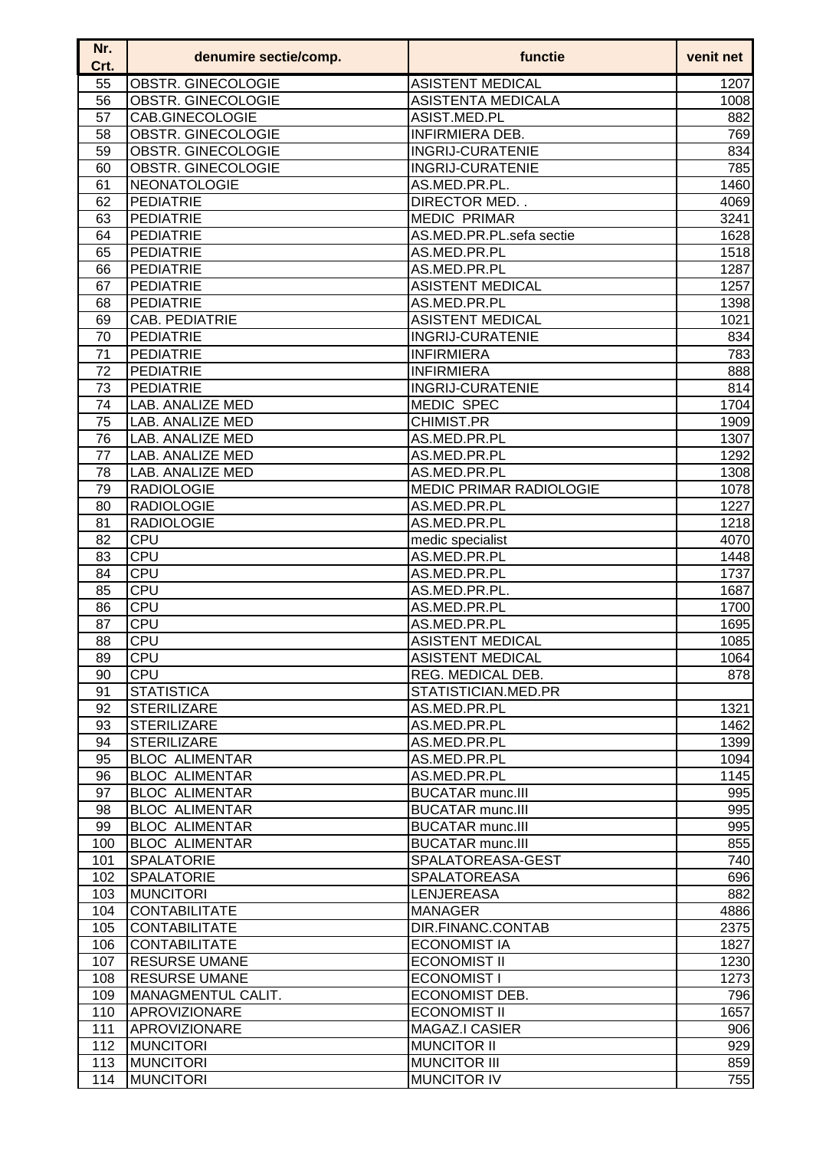| Nr.<br>Crt. | denumire sectie/comp.                          | functie                                            | venit net  |
|-------------|------------------------------------------------|----------------------------------------------------|------------|
| 55          | OBSTR. GINECOLOGIE                             | <b>ASISTENT MEDICAL</b>                            | 1207       |
| 56          | OBSTR. GINECOLOGIE                             | <b>ASISTENTA MEDICALA</b>                          | 1008       |
| 57          | CAB.GINECOLOGIE                                | ASIST.MED.PL                                       | 882        |
| 58          | OBSTR. GINECOLOGIE                             | <b>INFIRMIERA DEB.</b>                             | 769        |
| 59          | <b>OBSTR. GINECOLOGIE</b>                      | <b>INGRIJ-CURATENIE</b>                            | 834        |
| 60          | OBSTR. GINECOLOGIE                             | <b>INGRIJ-CURATENIE</b>                            | 785        |
| 61          | <b>NEONATOLOGIE</b>                            | AS.MED.PR.PL.                                      | 1460       |
| 62          | PEDIATRIE                                      | DIRECTOR MED                                       | 4069       |
| 63          | <b>PEDIATRIE</b>                               | <b>MEDIC PRIMAR</b>                                | 3241       |
| 64          | <b>PEDIATRIE</b>                               | AS.MED.PR.PL.sefa sectie                           | 1628       |
| 65          | <b>PEDIATRIE</b>                               | AS.MED.PR.PL                                       | 1518       |
| 66          | <b>PEDIATRIE</b>                               | AS.MED.PR.PL                                       | 1287       |
| 67          | PEDIATRIE                                      | <b>ASISTENT MEDICAL</b>                            | 1257       |
| 68          | PEDIATRIE                                      | AS.MED.PR.PL                                       | 1398       |
| 69          | CAB. PEDIATRIE                                 | <b>ASISTENT MEDICAL</b>                            | 1021       |
| 70          | <b>PEDIATRIE</b>                               | <b>INGRIJ-CURATENIE</b>                            | 834        |
| 71          | <b>PEDIATRIE</b>                               | <b>INFIRMIERA</b>                                  | 783        |
| 72          | PEDIATRIE                                      | <b>INFIRMIERA</b>                                  | 888        |
| 73          | <b>PEDIATRIE</b>                               | <b>INGRIJ-CURATENIE</b>                            | 814        |
| 74          | LAB. ANALIZE MED                               | <b>MEDIC SPEC</b>                                  | 1704       |
| 75          | LAB. ANALIZE MED                               | CHIMIST.PR                                         | 1909       |
| 76          | LAB. ANALIZE MED                               | AS.MED.PR.PL                                       | 1307       |
| 77          | LAB. ANALIZE MED                               | AS.MED.PR.PL                                       | 1292       |
| 78          | LAB. ANALIZE MED                               | AS.MED.PR.PL                                       | 1308       |
| 79          | <b>RADIOLOGIE</b>                              | <b>MEDIC PRIMAR RADIOLOGIE</b>                     | 1078       |
| 80          | <b>RADIOLOGIE</b>                              | AS.MED.PR.PL                                       | 1227       |
| 81          | <b>RADIOLOGIE</b>                              | AS.MED.PR.PL                                       | 1218       |
| 82          | <b>CPU</b>                                     | medic specialist                                   | 4070       |
| 83          | <b>CPU</b>                                     | AS.MED.PR.PL                                       | 1448       |
| 84          | <b>CPU</b>                                     | AS.MED.PR.PL                                       | 1737       |
| 85          | <b>CPU</b>                                     | AS.MED.PR.PL.                                      | 1687       |
| 86          | <b>CPU</b>                                     | AS.MED.PR.PL                                       | 1700       |
| 87          | CPU                                            | AS.MED.PR.PL                                       | 1695       |
| 88          | CPU                                            | <b>ASISTENT MEDICAL</b>                            | 1085       |
| 89          | ∣CPU                                           | <b>ASISTENT MEDICAL</b>                            | 1064       |
| 90          | <b>CPU</b>                                     | REG. MEDICAL DEB.                                  | 878        |
| 91          | <b>STATISTICA</b>                              | STATISTICIAN.MED.PR                                |            |
| 92          | <b>STERILIZARE</b>                             | AS.MED.PR.PL                                       | 1321       |
| 93          | <b>STERILIZARE</b>                             | AS.MED.PR.PL                                       | 1462       |
| 94          | <b>STERILIZARE</b>                             | AS.MED.PR.PL                                       | 1399       |
| 95          | <b>BLOC ALIMENTAR</b>                          | AS.MED.PR.PL                                       | 1094       |
| 96<br>97    | <b>BLOC ALIMENTAR</b><br><b>BLOC ALIMENTAR</b> | AS.MED.PR.PL                                       | 1145       |
| 98          | <b>BLOC ALIMENTAR</b>                          | <b>BUCATAR munc.III</b><br><b>BUCATAR munc.III</b> | 995<br>995 |
| 99          | <b>BLOC ALIMENTAR</b>                          | <b>BUCATAR munc.III</b>                            | 995        |
| 100         | <b>BLOC ALIMENTAR</b>                          | <b>BUCATAR munc.III</b>                            | 855        |
| 101         | <b>SPALATORIE</b>                              | SPALATOREASA-GEST                                  | 740        |
| 102         | <b>SPALATORIE</b>                              | SPALATOREASA                                       | 696        |
| 103         | <b>MUNCITORI</b>                               | <b>LENJEREASA</b>                                  | 882        |
| 104         | <b>CONTABILITATE</b>                           | <b>MANAGER</b>                                     | 4886       |
| 105         | <b>CONTABILITATE</b>                           | DIR.FINANC.CONTAB                                  | 2375       |
| 106         | <b>CONTABILITATE</b>                           | <b>ECONOMIST IA</b>                                | 1827       |
| 107         | <b>RESURSE UMANE</b>                           | <b>ECONOMIST II</b>                                | 1230       |
| 108         | <b>RESURSE UMANE</b>                           | <b>ECONOMIST I</b>                                 | 1273       |
| 109         | MANAGMENTUL CALIT.                             | ECONOMIST DEB.                                     | 796        |
| 110         | APROVIZIONARE                                  | <b>ECONOMIST II</b>                                | 1657       |
| 111         | APROVIZIONARE                                  | MAGAZ.I CASIER                                     | 906        |
| 112         | <b>MUNCITORI</b>                               | <b>MUNCITOR II</b>                                 | 929        |
| 113         | <b>MUNCITORI</b>                               | <b>MUNCITOR III</b>                                | 859        |
| 114         | <b>MUNCITORI</b>                               | <b>MUNCITOR IV</b>                                 | 755        |